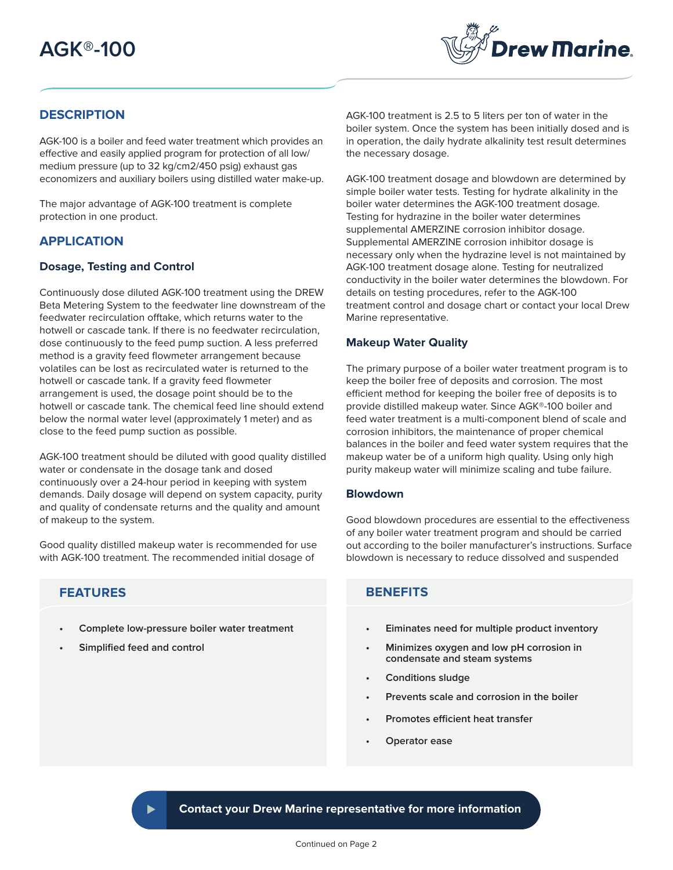# **AGK®-100**



# **DESCRIPTION**

AGK-100 is a boiler and feed water treatment which provides an effective and easily applied program for protection of all low/ medium pressure (up to 32 kg/cm2/450 psig) exhaust gas economizers and auxiliary boilers using distilled water make-up.

The major advantage of AGK-100 treatment is complete protection in one product.

## **APPLICATION**

## **Dosage, Testing and Control**

Continuously dose diluted AGK-100 treatment using the DREW Beta Metering System to the feedwater line downstream of the feedwater recirculation offtake, which returns water to the hotwell or cascade tank. If there is no feedwater recirculation, dose continuously to the feed pump suction. A less preferred method is a gravity feed flowmeter arrangement because volatiles can be lost as recirculated water is returned to the hotwell or cascade tank. If a gravity feed flowmeter arrangement is used, the dosage point should be to the hotwell or cascade tank. The chemical feed line should extend below the normal water level (approximately 1 meter) and as close to the feed pump suction as possible.

AGK-100 treatment should be diluted with good quality distilled water or condensate in the dosage tank and dosed continuously over a 24-hour period in keeping with system demands. Daily dosage will depend on system capacity, purity and quality of condensate returns and the quality and amount of makeup to the system.

Good quality distilled makeup water is recommended for use with AGK-100 treatment. The recommended initial dosage of

# **FEATURES**

- **• Complete low-pressure boiler water treatment**
- **• Simplified feed and control**

AGK-100 treatment is 2.5 to 5 liters per ton of water in the boiler system. Once the system has been initially dosed and is in operation, the daily hydrate alkalinity test result determines the necessary dosage.

AGK-100 treatment dosage and blowdown are determined by simple boiler water tests. Testing for hydrate alkalinity in the boiler water determines the AGK-100 treatment dosage. Testing for hydrazine in the boiler water determines supplemental AMERZINE corrosion inhibitor dosage. Supplemental AMERZINE corrosion inhibitor dosage is necessary only when the hydrazine level is not maintained by AGK-100 treatment dosage alone. Testing for neutralized conductivity in the boiler water determines the blowdown. For details on testing procedures, refer to the AGK-100 treatment control and dosage chart or contact your local Drew Marine representative.

## **Makeup Water Quality**

The primary purpose of a boiler water treatment program is to keep the boiler free of deposits and corrosion. The most efficient method for keeping the boiler free of deposits is to provide distilled makeup water. Since AGK®-100 boiler and feed water treatment is a multi-component blend of scale and corrosion inhibitors, the maintenance of proper chemical balances in the boiler and feed water system requires that the makeup water be of a uniform high quality. Using only high purity makeup water will minimize scaling and tube failure.

#### **Blowdown**

Good blowdown procedures are essential to the effectiveness of any boiler water treatment program and should be carried out according to the boiler manufacturer's instructions. Surface blowdown is necessary to reduce dissolved and suspended

# **BENEFITS**

- **• Eiminates need for multiple product inventory**
- **Minimizes oxygen and low pH corrosion in condensate and steam systems**
- **• Conditions sludge**
- **• Prevents scale and corrosion in the boiler**
- **Promotes efficient heat transfer**
- **Operator ease**

**Contact your Drew Marine representative for more information**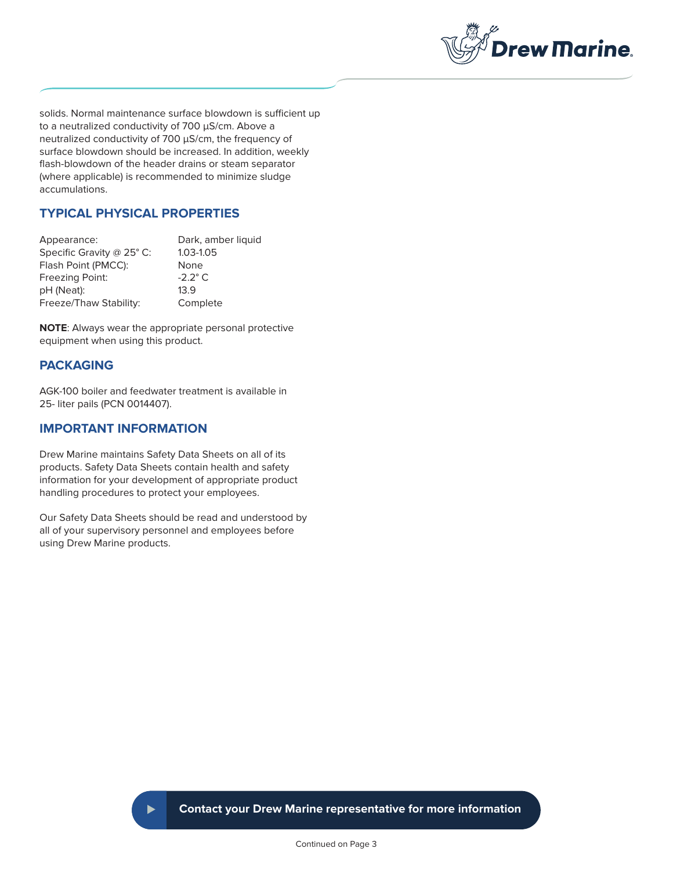

solids. Normal maintenance surface blowdown is sufficient up to a neutralized conductivity of 700 μS/cm. Above a neutralized conductivity of 700 μS/cm, the frequency of surface blowdown should be increased. In addition, weekly flash-blowdown of the header drains or steam separator (where applicable) is recommended to minimize sludge accumulations.

# **TYPICAL PHYSICAL PROPERTIES**

| Appearance:               | Dark, amber liquid |
|---------------------------|--------------------|
| Specific Gravity @ 25° C: | 1.03-1.05          |
| Flash Point (PMCC):       | None               |
| Freezing Point:           | $-2.2^\circ$ C.    |
| pH (Neat):                | 13.9               |
| Freeze/Thaw Stability:    | Complete           |

**NOTE**: Always wear the appropriate personal protective equipment when using this product.

## **PACKAGING**

AGK-100 boiler and feedwater treatment is available in 25- liter pails (PCN 0014407).

## **IMPORTANT INFORMATION**

Drew Marine maintains Safety Data Sheets on all of its products. Safety Data Sheets contain health and safety information for your development of appropriate product handling procedures to protect your employees.

Our Safety Data Sheets should be read and understood by all of your supervisory personnel and employees before using Drew Marine products.